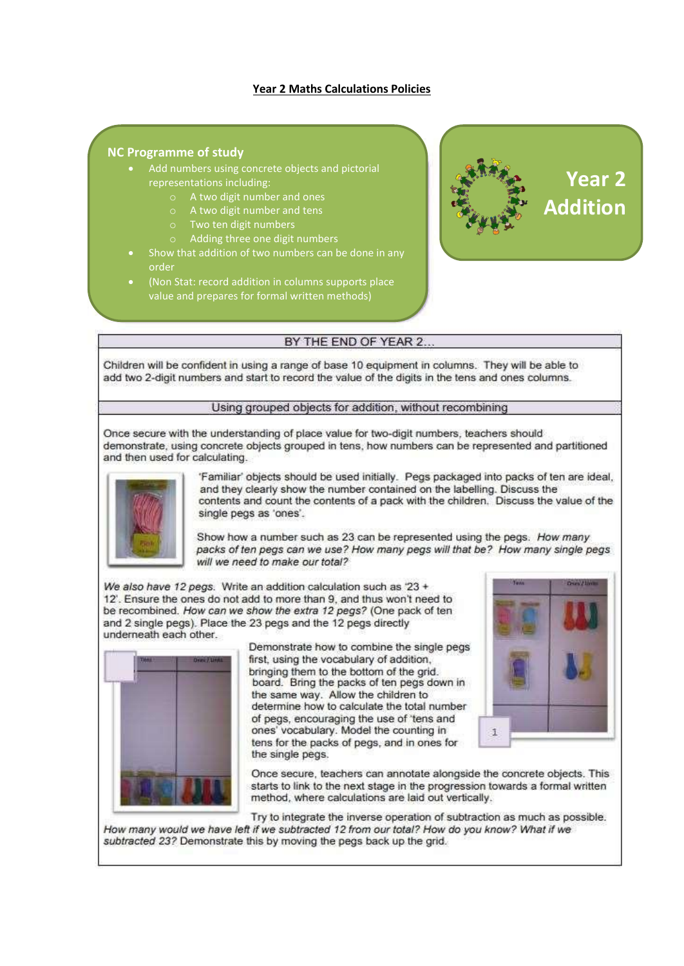## **Year 2 Maths Calculations Policies**

#### **NC Programme of study**

- Add numbers using concrete objects and pictorial representations including:
	- o A two digit number and ones
	- o A two digit number and tens
	- Two ten digit numbers
	- Adding three one digit numbers
- Show that addition of two numbers can be done in any order
- (Non Stat: record addition in columns supports place value and prepares for formal written methods)



## BY THE END OF YEAR 2..

Children will be confident in using a range of base 10 equipment in columns. They will be able to add two 2-digit numbers and start to record the value of the digits in the tens and ones columns.

#### Using grouped objects for addition, without recombining

Once secure with the understanding of place value for two-digit numbers, teachers should demonstrate, using concrete objects grouped in tens, how numbers can be represented and partitioned and then used for calculating.



'Familiar' objects should be used initially. Pegs packaged into packs of ten are ideal. and they clearly show the number contained on the labelling. Discuss the contents and count the contents of a pack with the children. Discuss the value of the single pegs as 'ones'.

Show how a number such as 23 can be represented using the pegs. How many packs of ten pegs can we use? How many pegs will that be? How many single pegs will we need to make our total?

We also have 12 pegs. Write an addition calculation such as '23 + 12'. Ensure the ones do not add to more than 9, and thus won't need to be recombined. How can we show the extra 12 pegs? (One pack of ten and 2 single pegs). Place the 23 pegs and the 12 pegs directly underneath each other.



Demonstrate how to combine the single pegs first, using the vocabulary of addition, bringing them to the bottom of the grid. board. Bring the packs of ten pegs down in the same way. Allow the children to determine how to calculate the total number of pegs, encouraging the use of 'tens and ones' vocabulary. Model the counting in tens for the packs of pegs, and in ones for the single pegs.



Once secure, teachers can annotate alongside the concrete objects. This starts to link to the next stage in the progression towards a formal written method, where calculations are laid out vertically.

Try to integrate the inverse operation of subtraction as much as possible. How many would we have left if we subtracted 12 from our total? How do you know? What if we subtracted 23? Demonstrate this by moving the pegs back up the grid.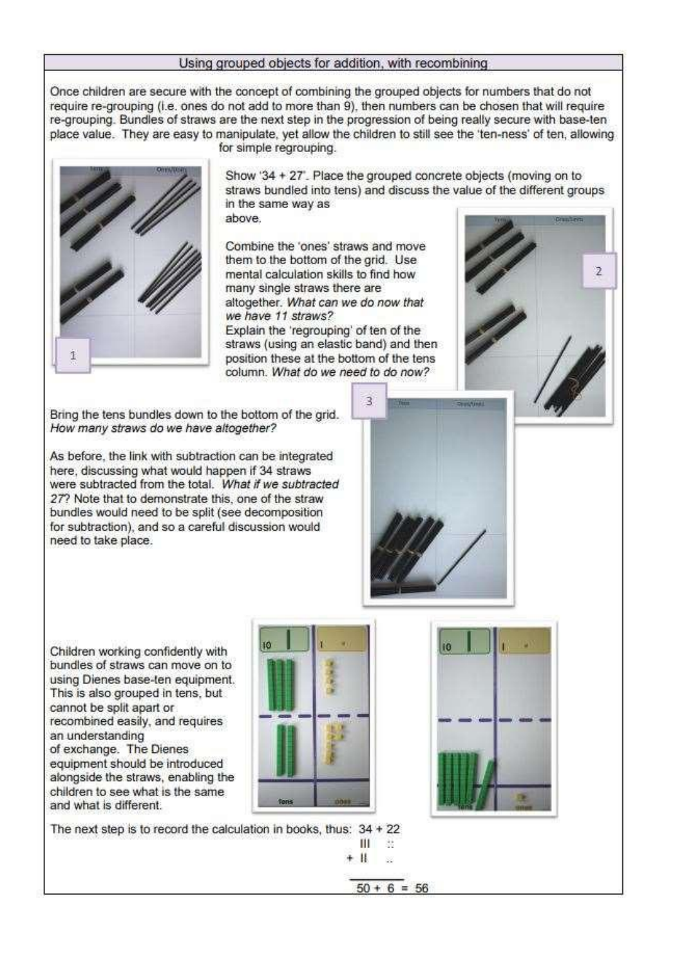#### Using grouped objects for addition, with recombining

Once children are secure with the concept of combining the grouped objects for numbers that do not require re-grouping (i.e. ones do not add to more than 9), then numbers can be chosen that will require re-grouping. Bundles of straws are the next step in the progression of being really secure with base-ten place value. They are easy to manipulate, yet allow the children to still see the 'ten-ness' of ten, allowing



for simple regrouping.

Show '34 + 27'. Place the grouped concrete objects (moving on to straws bundled into tens) and discuss the value of the different groups in the same way as above.

Combine the 'ones' straws and move them to the bottom of the grid. Use mental calculation skills to find how many single straws there are altogether. What can we do now that we have 11 straws?

Explain the 'regrouping' of ten of the straws (using an elastic band) and then position these at the bottom of the tens column. What do we need to do now?

э

Bring the tens bundles down to the bottom of the grid. How many straws do we have altogether?

As before, the link with subtraction can be integrated here, discussing what would happen if 34 straws were subtracted from the total. What if we subtracted 27? Note that to demonstrate this, one of the straw bundles would need to be split (see decomposition for subtraction), and so a careful discussion would need to take place.

Children working confidently with bundles of straws can move on to using Dienes base-ten equipment. This is also grouped in tens, but cannot be split apart or recombined easily, and requires an understanding of exchange. The Dienes equipment should be introduced alongside the straws, enabling the children to see what is the same and what is different.





 $\overline{2}$ 

The next step is to record the calculation in books, thus:  $34 + 22$ 

Ш 35  $+$  H. s.

 $50 + 6 = 56$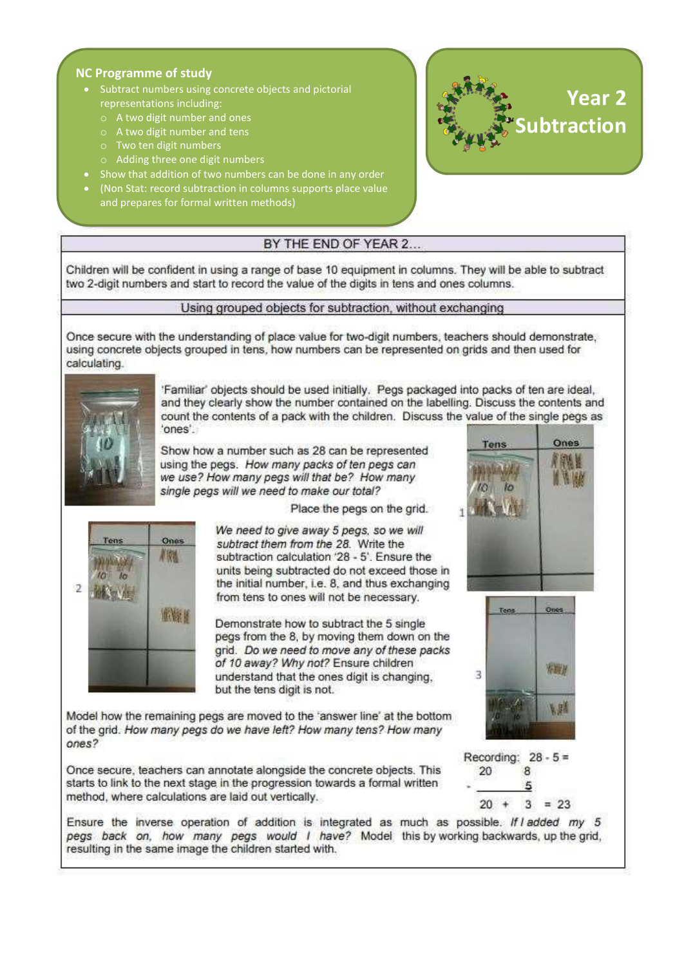## **NC Programme of study**

- Subtract numbers using concrete objects and pictorial representations including:
	- o A two digit number and ones
	- o A two digit number and tens
	- o Two ten digit numbers
	- o Adding three one digit numbers
- Show that addition of two numbers can be done in any order
- (Non Stat: record subtraction in columns supports place value and prepares for formal written methods)



## BY THE END OF YEAR 2...

Children will be confident in using a range of base 10 equipment in columns. They will be able to subtract two 2-digit numbers and start to record the value of the digits in tens and ones columns.

#### Using grouped objects for subtraction, without exchanging

Once secure with the understanding of place value for two-digit numbers, teachers should demonstrate, using concrete objects grouped in tens, how numbers can be represented on grids and then used for calculating.



Familiar' objects should be used initially. Pegs packaged into packs of ten are ideal, and they clearly show the number contained on the labelling. Discuss the contents and count the contents of a pack with the children. Discuss the value of the single pegs as 'ones'.

Show how a number such as 28 can be represented using the pegs. How many packs of ten pegs can we use? How many pegs will that be? How many single pegs will we need to make our total?

Place the pegs on the grid.



We need to give away 5 pegs, so we will subtract them from the 28. Write the subtraction calculation '28 - 5'. Ensure the units being subtracted do not exceed those in the initial number, i.e. 8, and thus exchanging from tens to ones will not be necessary.

Demonstrate how to subtract the 5 single pegs from the 8, by moving them down on the grid. Do we need to move any of these packs of 10 away? Why not? Ensure children understand that the ones digit is changing. but the tens digit is not.

Model how the remaining pegs are moved to the 'answer line' at the bottom of the grid. How many pegs do we have left? How many tens? How many ones?

Once secure, teachers can annotate alongside the concrete objects. This starts to link to the next stage in the progression towards a formal written method, where calculations are laid out vertically.

Ensure the inverse operation of addition is integrated as much as possible. If I added my 5 pegs back on, how many pegs would I have? Model this by working backwards, up the grid, resulting in the same image the children started with.





Recording:  $28 - 5 =$ 

8

5

 $3 = 23$ 

20

 $20 +$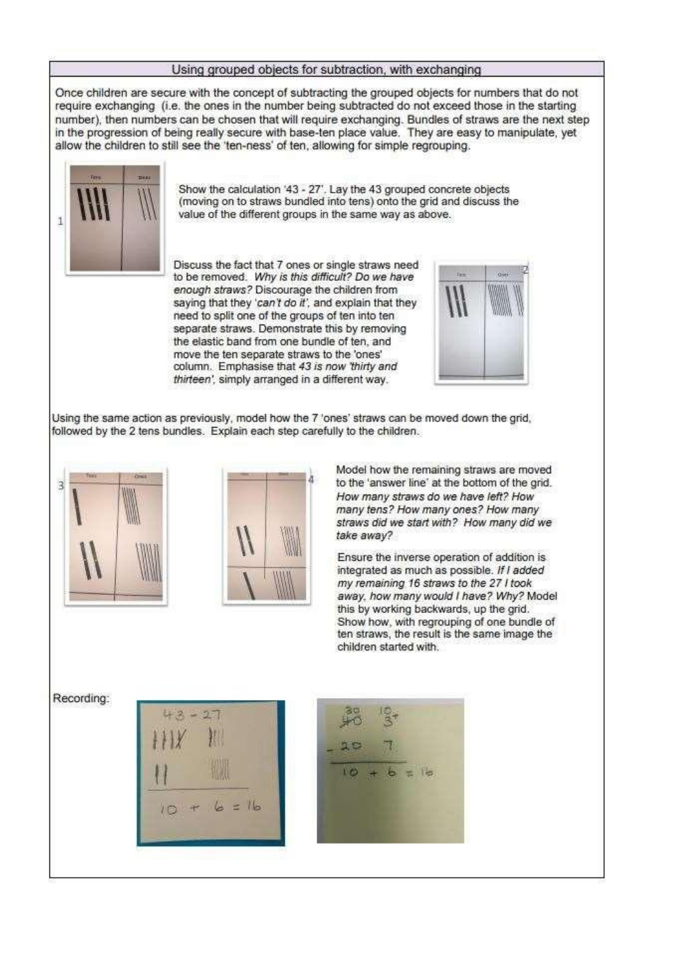#### Using grouped objects for subtraction, with exchanging

Once children are secure with the concept of subtracting the grouped objects for numbers that do not require exchanging (i.e. the ones in the number being subtracted do not exceed those in the starting number), then numbers can be chosen that will require exchanging. Bundles of straws are the next step in the progression of being really secure with base-ten place value. They are easy to manipulate, yet allow the children to still see the 'ten-ness' of ten, allowing for simple regrouping.



Show the calculation '43 - 27'. Lay the 43 grouped concrete objects (moving on to straws bundled into tens) onto the grid and discuss the value of the different groups in the same way as above.

Discuss the fact that 7 ones or single straws need to be removed. Why is this difficult? Do we have enough straws? Discourage the children from saying that they 'can't do it', and explain that they need to split one of the groups of ten into ten separate straws. Demonstrate this by removing the elastic band from one bundle of ten, and move the ten separate straws to the 'ones' column. Emphasise that 43 is now 'thirty and thirteen', simply arranged in a different way.



Using the same action as previously, model how the 7 'ones' straws can be moved down the grid, followed by the 2 tens bundles. Explain each step carefully to the children.





Model how the remaining straws are moved to the 'answer line' at the bottom of the grid. How many straws do we have left? How many tens? How many ones? How many straws did we start with? How many did we take away?

Ensure the inverse operation of addition is integrated as much as possible. If I added my remaining 16 straws to the 27 I took away, how many would I have? Why? Model this by working backwards, up the grid. Show how, with regrouping of one bundle of ten straws, the result is the same image the children started with.

Recording:



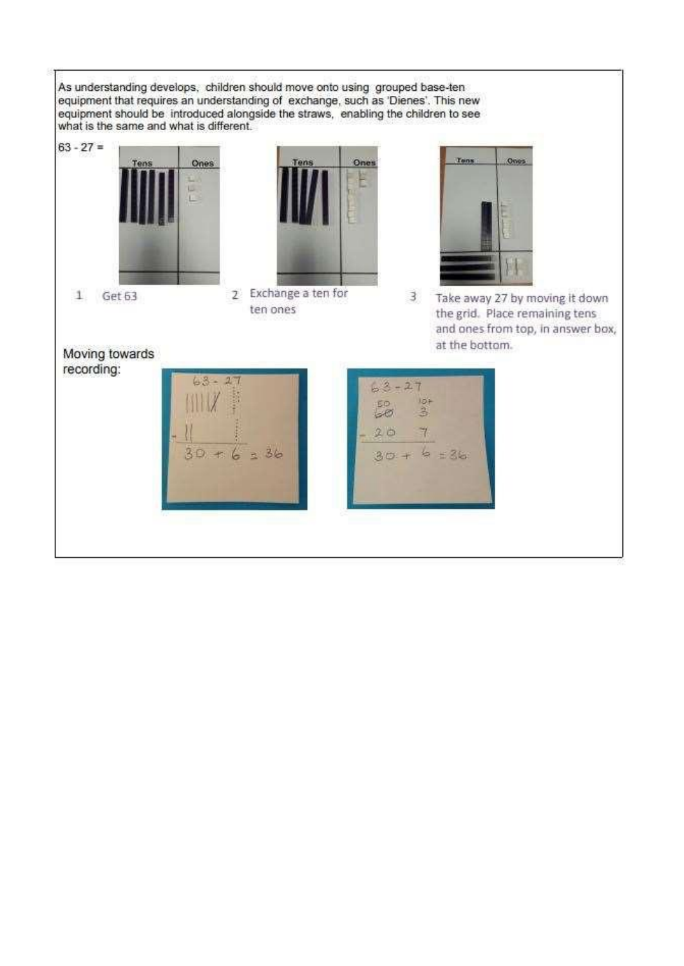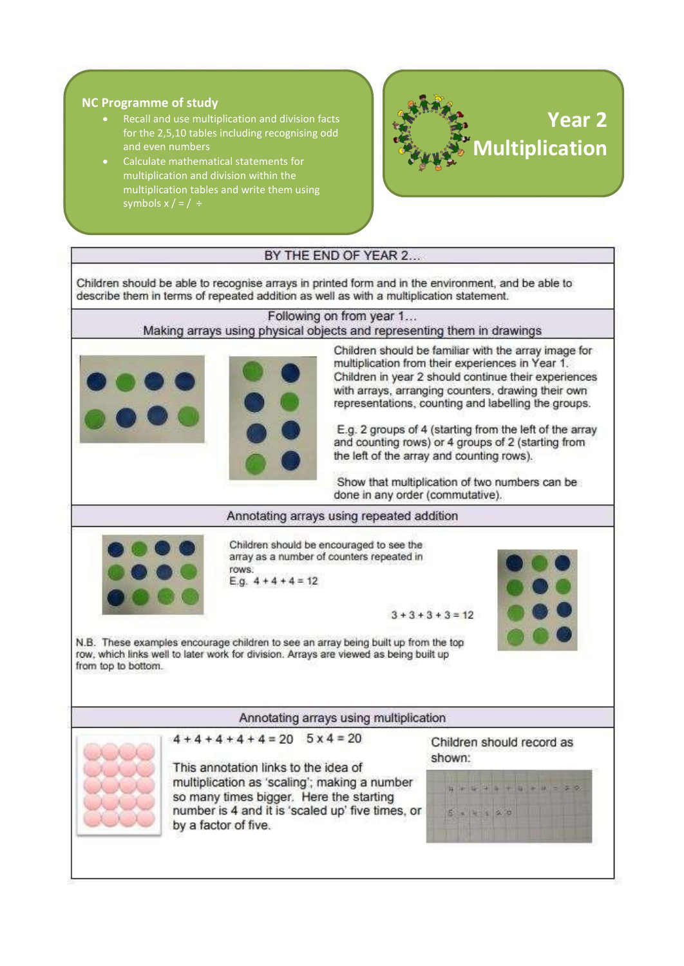## **NC Programme of study**

- Recall and use multiplication and division facts for the 2,5,10 tables including recognising odd and even numbers
- Calculate mathematical statements for multiplication and division within the multiplication tables and write them using symbols  $x / = / \div$



## BY THE END OF YEAR 2...

Children should be able to recognise arrays in printed form and in the environment, and be able to describe them in terms of repeated addition as well as with a multiplication statement.

#### Following on from year 1...

## Making arrays using physical objects and representing them in drawings



Children should be familiar with the array image for multiplication from their experiences in Year 1. Children in year 2 should continue their experiences with arrays, arranging counters, drawing their own representations, counting and labelling the groups.

E.g. 2 groups of 4 (starting from the left of the array and counting rows) or 4 groups of 2 (starting from the left of the array and counting rows).

Show that multiplication of two numbers can be done in any order (commutative).

#### Annotating arrays using repeated addition



Children should be encouraged to see the array as a number of counters repeated in rows. E.g.  $4 + 4 + 4 = 12$ 





N.B. These examples encourage children to see an array being built up from the top row, which links well to later work for division. Arrays are viewed as being built up from top to bottom.

#### Annotating arrays using multiplication



 $4+4+4+4+4=20$   $5 \times 4 = 20$ 

This annotation links to the idea of multiplication as 'scaling'; making a number so many times bigger. Here the starting number is 4 and it is 'scaled up' five times, or by a factor of five.

Children should record as shown:

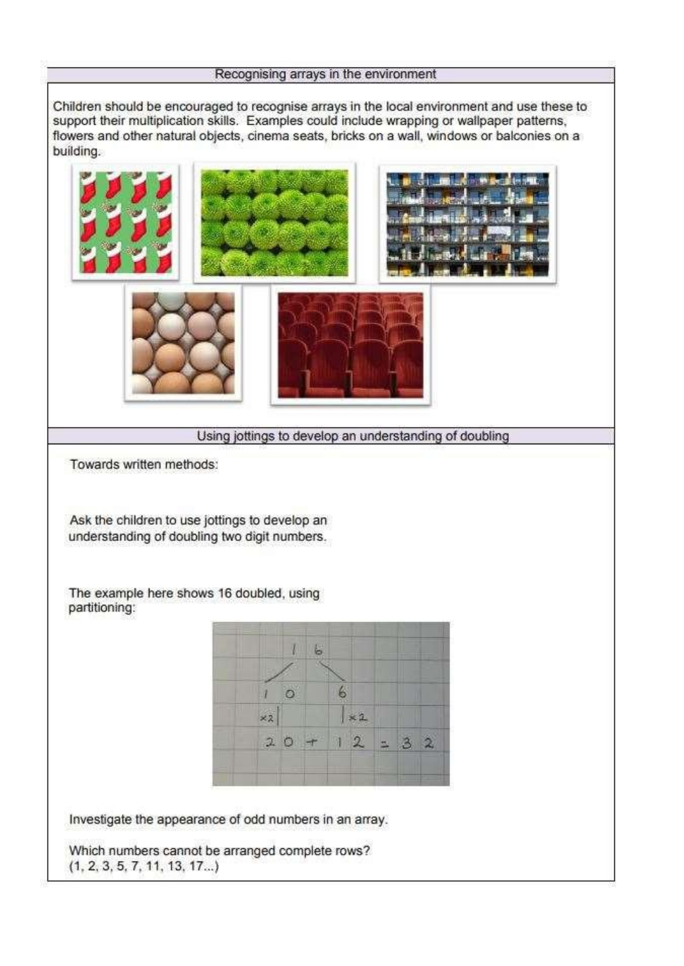## Recognising arrays in the environment

Children should be encouraged to recognise arrays in the local environment and use these to support their multiplication skills. Examples could include wrapping or wallpaper patterns, flowers and other natural objects, cinema seats, bricks on a wall, windows or balconies on a building.

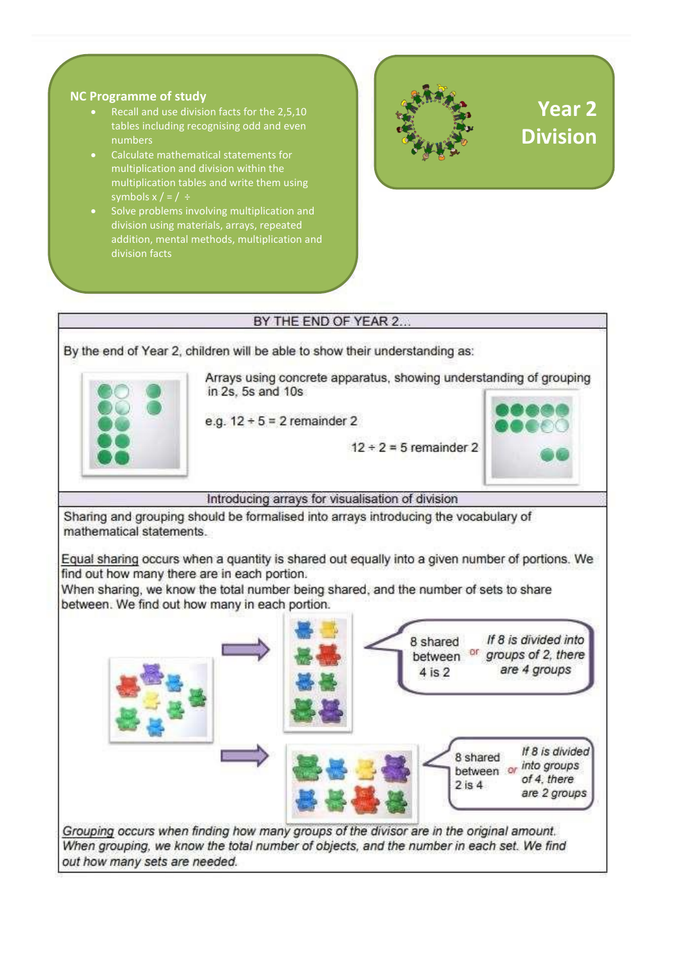## **NC Programme of study**

- Recall and use division facts for the 2,5,10 tables including recognising odd and even numbers
- Calculate mathematical statements for multiplication and division within the multiplication tables and write them using symbols  $x$  / = /  $\div$
- Solve problems involving multiplication and division using materials, arrays, repeated addition, mental methods, multiplication and division facts



# BY THE END OF YEAR 2... By the end of Year 2, children will be able to show their understanding as: Arrays using concrete apparatus, showing understanding of grouping in 2s, 5s and 10s e.g.  $12 \div 5 = 2$  remainder 2  $12 \div 2 = 5$  remainder 2 Introducing arrays for visualisation of division Sharing and grouping should be formalised into arrays introducing the vocabulary of mathematical statements. Equal sharing occurs when a quantity is shared out equally into a given number of portions. We find out how many there are in each portion. When sharing, we know the total number being shared, and the number of sets to share between. We find out how many in each portion. If 8 is divided into 8 shared between or groups of 2, there are 4 groups 4 is 2 If 8 is divided 8 shared  $\frac{8 \text{ shared}}{\text{between}}$  or *into groups* of 4. there  $2$  is  $4$ are 2 groups Grouping occurs when finding how many groups of the divisor are in the original amount. When grouping, we know the total number of objects, and the number in each set. We find out how many sets are needed.